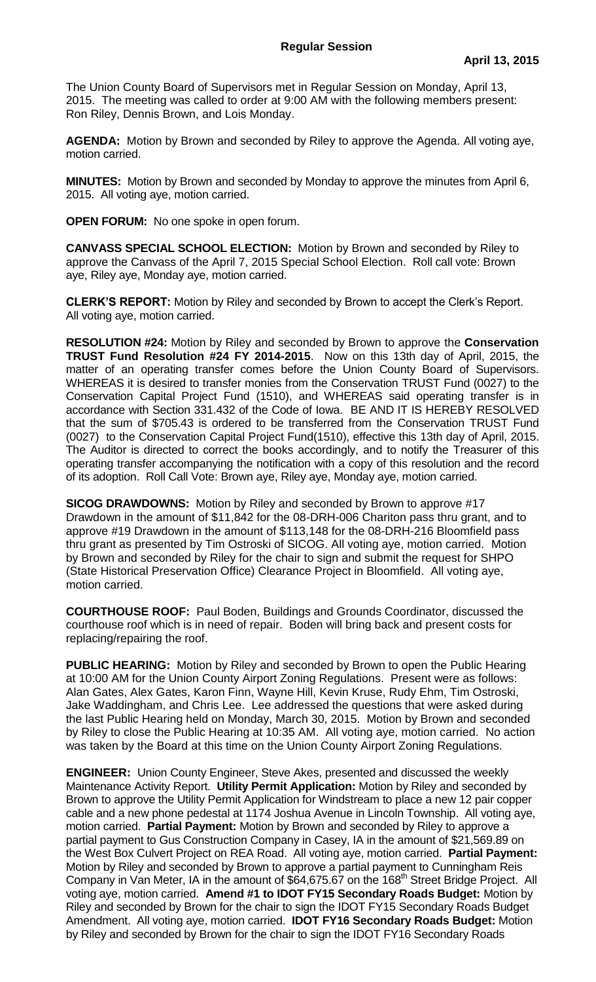The Union County Board of Supervisors met in Regular Session on Monday, April 13, 2015. The meeting was called to order at 9:00 AM with the following members present: Ron Riley, Dennis Brown, and Lois Monday.

**AGENDA:** Motion by Brown and seconded by Riley to approve the Agenda. All voting aye, motion carried.

**MINUTES:** Motion by Brown and seconded by Monday to approve the minutes from April 6, 2015. All voting aye, motion carried.

**OPEN FORUM:** No one spoke in open forum.

**CANVASS SPECIAL SCHOOL ELECTION:** Motion by Brown and seconded by Riley to approve the Canvass of the April 7, 2015 Special School Election. Roll call vote: Brown aye, Riley aye, Monday aye, motion carried.

**CLERK'S REPORT:** Motion by Riley and seconded by Brown to accept the Clerk's Report. All voting aye, motion carried.

**RESOLUTION #24:** Motion by Riley and seconded by Brown to approve the **Conservation TRUST Fund Resolution #24 FY 2014-2015**. Now on this 13th day of April, 2015, the matter of an operating transfer comes before the Union County Board of Supervisors. WHEREAS it is desired to transfer monies from the Conservation TRUST Fund (0027) to the Conservation Capital Project Fund (1510), and WHEREAS said operating transfer is in accordance with Section 331.432 of the Code of Iowa. BE AND IT IS HEREBY RESOLVED that the sum of \$705.43 is ordered to be transferred from the Conservation TRUST Fund (0027) to the Conservation Capital Project Fund(1510), effective this 13th day of April, 2015. The Auditor is directed to correct the books accordingly, and to notify the Treasurer of this operating transfer accompanying the notification with a copy of this resolution and the record of its adoption. Roll Call Vote: Brown aye, Riley aye, Monday aye, motion carried.

**SICOG DRAWDOWNS:** Motion by Riley and seconded by Brown to approve #17 Drawdown in the amount of \$11,842 for the 08-DRH-006 Chariton pass thru grant, and to approve #19 Drawdown in the amount of \$113,148 for the 08-DRH-216 Bloomfield pass thru grant as presented by Tim Ostroski of SICOG. All voting aye, motion carried. Motion by Brown and seconded by Riley for the chair to sign and submit the request for SHPO (State Historical Preservation Office) Clearance Project in Bloomfield. All voting aye, motion carried.

**COURTHOUSE ROOF:** Paul Boden, Buildings and Grounds Coordinator, discussed the courthouse roof which is in need of repair. Boden will bring back and present costs for replacing/repairing the roof.

**PUBLIC HEARING:** Motion by Riley and seconded by Brown to open the Public Hearing at 10:00 AM for the Union County Airport Zoning Regulations. Present were as follows: Alan Gates, Alex Gates, Karon Finn, Wayne Hill, Kevin Kruse, Rudy Ehm, Tim Ostroski, Jake Waddingham, and Chris Lee. Lee addressed the questions that were asked during the last Public Hearing held on Monday, March 30, 2015. Motion by Brown and seconded by Riley to close the Public Hearing at 10:35 AM. All voting aye, motion carried. No action was taken by the Board at this time on the Union County Airport Zoning Regulations.

**ENGINEER:** Union County Engineer, Steve Akes, presented and discussed the weekly Maintenance Activity Report. **Utility Permit Application:** Motion by Riley and seconded by Brown to approve the Utility Permit Application for Windstream to place a new 12 pair copper cable and a new phone pedestal at 1174 Joshua Avenue in Lincoln Township. All voting aye, motion carried. **Partial Payment:** Motion by Brown and seconded by Riley to approve a partial payment to Gus Construction Company in Casey, IA in the amount of \$21,569.89 on the West Box Culvert Project on REA Road. All voting aye, motion carried. **Partial Payment:**  Motion by Riley and seconded by Brown to approve a partial payment to Cunningham Reis Company in Van Meter, IA in the amount of \$64,675.67 on the 168<sup>th</sup> Street Bridge Project. All voting aye, motion carried. **Amend #1 to IDOT FY15 Secondary Roads Budget:** Motion by Riley and seconded by Brown for the chair to sign the IDOT FY15 Secondary Roads Budget Amendment. All voting aye, motion carried. **IDOT FY16 Secondary Roads Budget:** Motion by Riley and seconded by Brown for the chair to sign the IDOT FY16 Secondary Roads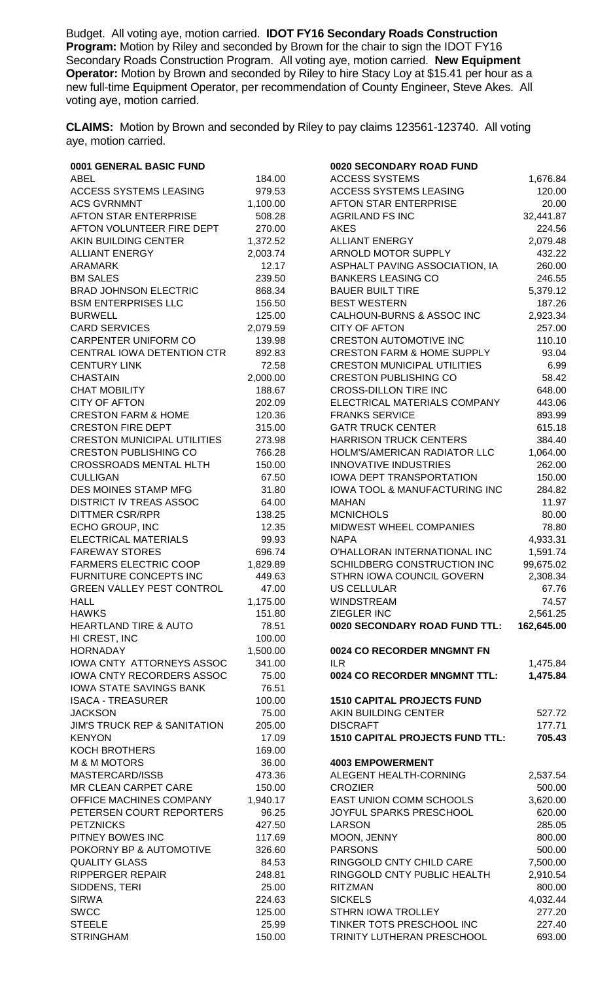Budget. All voting aye, motion carried. **IDOT FY16 Secondary Roads Construction Program:** Motion by Riley and seconded by Brown for the chair to sign the IDOT FY16 Secondary Roads Construction Program. All voting aye, motion carried. **New Equipment Operator:** Motion by Brown and seconded by Riley to hire Stacy Loy at \$15.41 per hour as a new full-time Equipment Operator, per recommendation of County Engineer, Steve Akes. All voting aye, motion carried.

**CLAIMS:** Motion by Brown and seconded by Riley to pay claims 123561-123740. All voting aye, motion carried.

| 0001 GENERAL BASIC FUND                 |          | 0020 SECONDARY ROAD FUND                 |            |
|-----------------------------------------|----------|------------------------------------------|------------|
| <b>ABEL</b>                             | 184.00   | <b>ACCESS SYSTEMS</b>                    | 1,676.84   |
| <b>ACCESS SYSTEMS LEASING</b>           | 979.53   | <b>ACCESS SYSTEMS LEASING</b>            | 120.00     |
| <b>ACS GVRNMNT</b>                      | 1,100.00 | AFTON STAR ENTERPRISE                    | 20.00      |
| <b>AFTON STAR ENTERPRISE</b>            | 508.28   | <b>AGRILAND FS INC</b>                   | 32,441.87  |
| AFTON VOLUNTEER FIRE DEPT               | 270.00   | <b>AKES</b>                              | 224.56     |
| AKIN BUILDING CENTER                    | 1,372.52 | <b>ALLIANT ENERGY</b>                    | 2,079.48   |
| <b>ALLIANT ENERGY</b>                   | 2,003.74 | ARNOLD MOTOR SUPPLY                      | 432.22     |
| <b>ARAMARK</b>                          | 12.17    | ASPHALT PAVING ASSOCIATION, IA           | 260.00     |
| <b>BM SALES</b>                         | 239.50   | <b>BANKERS LEASING CO</b>                | 246.55     |
| <b>BRAD JOHNSON ELECTRIC</b>            | 868.34   | <b>BAUER BUILT TIRE</b>                  | 5,379.12   |
| <b>BSM ENTERPRISES LLC</b>              | 156.50   | <b>BEST WESTERN</b>                      | 187.26     |
| <b>BURWELL</b>                          | 125.00   | CALHOUN-BURNS & ASSOC INC                | 2,923.34   |
| <b>CARD SERVICES</b>                    | 2,079.59 | <b>CITY OF AFTON</b>                     | 257.00     |
| <b>CARPENTER UNIFORM CO</b>             | 139.98   | <b>CRESTON AUTOMOTIVE INC</b>            | 110.10     |
| CENTRAL IOWA DETENTION CTR              | 892.83   | <b>CRESTON FARM &amp; HOME SUPPLY</b>    | 93.04      |
| <b>CENTURY LINK</b>                     | 72.58    | <b>CRESTON MUNICIPAL UTILITIES</b>       | 6.99       |
| <b>CHASTAIN</b>                         | 2,000.00 | <b>CRESTON PUBLISHING CO</b>             | 58.42      |
| <b>CHAT MOBILITY</b>                    | 188.67   | <b>CROSS-DILLON TIRE INC</b>             | 648.00     |
| <b>CITY OF AFTON</b>                    | 202.09   | ELECTRICAL MATERIALS COMPANY             | 443.06     |
| <b>CRESTON FARM &amp; HOME</b>          | 120.36   | <b>FRANKS SERVICE</b>                    | 893.99     |
| <b>CRESTON FIRE DEPT</b>                | 315.00   | <b>GATR TRUCK CENTER</b>                 | 615.18     |
| <b>CRESTON MUNICIPAL UTILITIES</b>      | 273.98   | <b>HARRISON TRUCK CENTERS</b>            | 384.40     |
| <b>CRESTON PUBLISHING CO</b>            | 766.28   | HOLM'S/AMERICAN RADIATOR LLC             | 1,064.00   |
| <b>CROSSROADS MENTAL HLTH</b>           | 150.00   | <b>INNOVATIVE INDUSTRIES</b>             | 262.00     |
| <b>CULLIGAN</b>                         | 67.50    | <b>IOWA DEPT TRANSPORTATION</b>          | 150.00     |
| DES MOINES STAMP MFG                    | 31.80    | <b>IOWA TOOL &amp; MANUFACTURING INC</b> | 284.82     |
| <b>DISTRICT IV TREAS ASSOC</b>          | 64.00    | <b>MAHAN</b>                             | 11.97      |
| <b>DITTMER CSR/RPR</b>                  | 138.25   | <b>MCNICHOLS</b>                         | 80.00      |
| ECHO GROUP, INC                         | 12.35    | MIDWEST WHEEL COMPANIES                  | 78.80      |
| ELECTRICAL MATERIALS                    | 99.93    | <b>NAPA</b>                              | 4,933.31   |
| <b>FAREWAY STORES</b>                   | 696.74   | O'HALLORAN INTERNATIONAL INC             | 1,591.74   |
| <b>FARMERS ELECTRIC COOP</b>            | 1,829.89 | SCHILDBERG CONSTRUCTION INC              | 99,675.02  |
| FURNITURE CONCEPTS INC                  | 449.63   | STHRN IOWA COUNCIL GOVERN                | 2,308.34   |
| <b>GREEN VALLEY PEST CONTROL</b>        | 47.00    | <b>US CELLULAR</b>                       | 67.76      |
| <b>HALL</b>                             | 1,175.00 | <b>WINDSTREAM</b>                        | 74.57      |
| <b>HAWKS</b>                            | 151.80   | ZIEGLER INC                              | 2,561.25   |
| <b>HEARTLAND TIRE &amp; AUTO</b>        | 78.51    | 0020 SECONDARY ROAD FUND TTL:            | 162,645.00 |
| HI CREST, INC                           | 100.00   |                                          |            |
| <b>HORNADAY</b>                         | 1,500.00 | 0024 CO RECORDER MNGMNT FN               |            |
| <b>IOWA CNTY ATTORNEYS ASSOC</b>        | 341.00   | <b>ILR</b>                               | 1,475.84   |
| <b>IOWA CNTY RECORDERS ASSOC</b>        | 75.00    | 0024 CO RECORDER MNGMNT TTL:             | 1,475.84   |
| <b>IOWA STATE SAVINGS BANK</b>          | 76.51    |                                          |            |
| <b>ISACA - TREASURER</b>                | 100.00   | <b>1510 CAPITAL PROJECTS FUND</b>        |            |
| <b>JACKSON</b>                          | 75.00    | AKIN BUILDING CENTER                     | 527.72     |
| <b>JIM'S TRUCK REP &amp; SANITATION</b> | 205.00   | <b>DISCRAFT</b>                          | 177.71     |
| <b>KENYON</b>                           | 17.09    | <b>1510 CAPITAL PROJECTS FUND TTL:</b>   | 705.43     |
| <b>KOCH BROTHERS</b>                    | 169.00   |                                          |            |
| <b>M &amp; M MOTORS</b>                 | 36.00    | <b>4003 EMPOWERMENT</b>                  |            |
| MASTERCARD/ISSB                         | 473.36   | ALEGENT HEALTH-CORNING                   | 2,537.54   |
| MR CLEAN CARPET CARE                    | 150.00   | <b>CROZIER</b>                           | 500.00     |
| OFFICE MACHINES COMPANY                 | 1,940.17 | EAST UNION COMM SCHOOLS                  | 3,620.00   |
| PETERSEN COURT REPORTERS                | 96.25    | JOYFUL SPARKS PRESCHOOL                  | 620.00     |
| <b>PETZNICKS</b>                        | 427.50   | <b>LARSON</b>                            | 285.05     |
| PITNEY BOWES INC                        | 117.69   | MOON, JENNY                              | 800.00     |
| POKORNY BP & AUTOMOTIVE                 | 326.60   | <b>PARSONS</b>                           | 500.00     |
| <b>QUALITY GLASS</b>                    | 84.53    | RINGGOLD CNTY CHILD CARE                 | 7,500.00   |
| <b>RIPPERGER REPAIR</b>                 | 248.81   | RINGGOLD CNTY PUBLIC HEALTH              | 2,910.54   |
| SIDDENS, TERI                           | 25.00    | <b>RITZMAN</b>                           | 800.00     |
| <b>SIRWA</b>                            | 224.63   | <b>SICKELS</b>                           | 4,032.44   |
| <b>SWCC</b>                             | 125.00   | <b>STHRN IOWA TROLLEY</b>                | 277.20     |
| <b>STEELE</b>                           | 25.99    | TINKER TOTS PRESCHOOL INC                | 227.40     |
| <b>STRINGHAM</b>                        | 150.00   | TRINITY LUTHERAN PRESCHOOL               | 693.00     |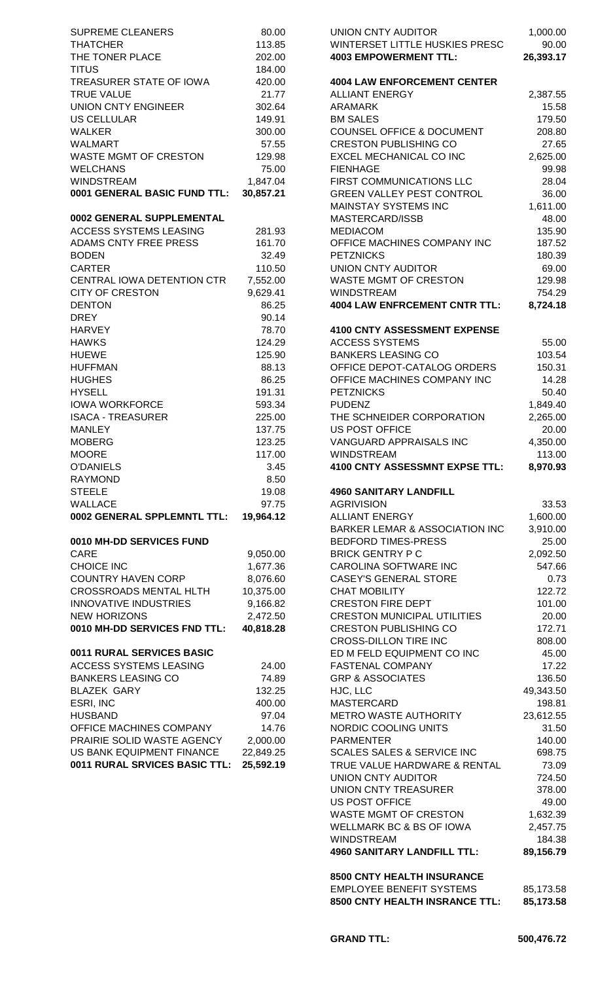| <b>SUPREME CLEANERS</b>       | 80.00     | UNION CNTY AUDITOR                       |
|-------------------------------|-----------|------------------------------------------|
|                               |           |                                          |
| <b>THATCHER</b>               | 113.85    | <b>WINTERSET LITTLE HUSKIES PRESO</b>    |
| THE TONER PLACE               | 202.00    | <b>4003 EMPOWERMENT TTL:</b>             |
| <b>TITUS</b>                  | 184.00    |                                          |
| TREASURER STATE OF IOWA       | 420.00    | <b>4004 LAW ENFORCEMENT CENTER</b>       |
| <b>TRUE VALUE</b>             | 21.77     | <b>ALLIANT ENERGY</b>                    |
| <b>UNION CNTY ENGINEER</b>    | 302.64    | ARAMARK                                  |
| <b>US CELLULAR</b>            | 149.91    | <b>BM SALES</b>                          |
| <b>WALKER</b>                 | 300.00    | <b>COUNSEL OFFICE &amp; DOCUMENT</b>     |
| <b>WALMART</b>                | 57.55     | <b>CRESTON PUBLISHING CO</b>             |
| <b>WASTE MGMT OF CRESTON</b>  | 129.98    | EXCEL MECHANICAL CO INC                  |
| <b>WELCHANS</b>               | 75.00     | <b>FIENHAGE</b>                          |
| <b>WINDSTREAM</b>             | 1,847.04  | FIRST COMMUNICATIONS LLC                 |
| 0001 GENERAL BASIC FUND TTL:  | 30,857.21 | <b>GREEN VALLEY PEST CONTROL</b>         |
|                               |           | <b>MAINSTAY SYSTEMS INC</b>              |
|                               |           |                                          |
| 0002 GENERAL SUPPLEMENTAL     |           | MASTERCARD/ISSB                          |
| <b>ACCESS SYSTEMS LEASING</b> | 281.93    | <b>MEDIACOM</b>                          |
| <b>ADAMS CNTY FREE PRESS</b>  | 161.70    | OFFICE MACHINES COMPANY INC              |
| <b>BODEN</b>                  | 32.49     | <b>PETZNICKS</b>                         |
| <b>CARTER</b>                 | 110.50    | <b>UNION CNTY AUDITOR</b>                |
| CENTRAL IOWA DETENTION CTR    | 7,552.00  | <b>WASTE MGMT OF CRESTON</b>             |
| <b>CITY OF CRESTON</b>        | 9,629.41  | <b>WINDSTREAM</b>                        |
| <b>DENTON</b>                 | 86.25     | <b>4004 LAW ENFRCEMENT CNTR TTL:</b>     |
| <b>DREY</b>                   | 90.14     |                                          |
| <b>HARVEY</b>                 | 78.70     | <b>4100 CNTY ASSESSMENT EXPENSE</b>      |
| <b>HAWKS</b>                  | 124.29    | <b>ACCESS SYSTEMS</b>                    |
| <b>HUEWE</b>                  | 125.90    | <b>BANKERS LEASING CO</b>                |
| <b>HUFFMAN</b>                | 88.13     | OFFICE DEPOT-CATALOG ORDERS              |
| <b>HUGHES</b>                 | 86.25     | OFFICE MACHINES COMPANY INC              |
| <b>HYSELL</b>                 | 191.31    | <b>PETZNICKS</b>                         |
| <b>IOWA WORKFORCE</b>         | 593.34    | <b>PUDENZ</b>                            |
| <b>ISACA - TREASURER</b>      | 225.00    | THE SCHNEIDER CORPORATION                |
|                               |           | <b>US POST OFFICE</b>                    |
| <b>MANLEY</b>                 | 137.75    |                                          |
| <b>MOBERG</b>                 | 123.25    | <b>VANGUARD APPRAISALS INC</b>           |
| <b>MOORE</b>                  | 117.00    | <b>WINDSTREAM</b>                        |
| <b>O'DANIELS</b>              | 3.45      | 4100 CNTY ASSESSMNT EXPSE TTL            |
| <b>RAYMOND</b>                | 8.50      |                                          |
| <b>STEELE</b>                 | 19.08     | <b>4960 SANITARY LANDFILL</b>            |
| <b>WALLACE</b>                | 97.75     | <b>AGRIVISION</b>                        |
| 0002 GENERAL SPPLEMNTL TTL:   | 19,964.12 | <b>ALLIANT ENERGY</b>                    |
|                               |           | <b>BARKER LEMAR &amp; ASSOCIATION IN</b> |
| 0010 MH-DD SERVICES FUND      |           | <b>BEDFORD TIMES-PRESS</b>               |
| CARE                          | 9,050.00  | <b>BRICK GENTRY P C</b>                  |
| <b>CHOICE INC</b>             | 1,677.36  | CAROLINA SOFTWARE INC                    |
| <b>COUNTRY HAVEN CORP</b>     | 8,076.60  | <b>CASEY'S GENERAL STORE</b>             |
| <b>CROSSROADS MENTAL HLTH</b> | 10,375.00 | <b>CHAT MOBILITY</b>                     |
| <b>INNOVATIVE INDUSTRIES</b>  | 9,166.82  | <b>CRESTON FIRE DEPT</b>                 |
| <b>NEW HORIZONS</b>           | 2,472.50  | <b>CRESTON MUNICIPAL UTILITIES</b>       |
| 0010 MH-DD SERVICES FND TTL:  | 40,818.28 | <b>CRESTON PUBLISHING CO</b>             |
|                               |           | <b>CROSS-DILLON TIRE INC</b>             |
| 0011 RURAL SERVICES BASIC     |           |                                          |
|                               |           | ED M FELD EQUIPMENT CO INC               |
| <b>ACCESS SYSTEMS LEASING</b> | 24.00     | <b>FASTENAL COMPANY</b>                  |
| <b>BANKERS LEASING CO</b>     | 74.89     | <b>GRP &amp; ASSOCIATES</b>              |
| <b>BLAZEK GARY</b>            | 132.25    | HJC, LLC                                 |
| ESRI, INC                     | 400.00    | <b>MASTERCARD</b>                        |
| <b>HUSBAND</b>                | 97.04     | METRO WASTE AUTHORITY                    |
| OFFICE MACHINES COMPANY       | 14.76     | NORDIC COOLING UNITS                     |
| PRAIRIE SOLID WASTE AGENCY    | 2,000.00  | <b>PARMENTER</b>                         |
| US BANK EQUIPMENT FINANCE     | 22,849.25 | <b>SCALES SALES &amp; SERVICE INC</b>    |
| 0011 RURAL SRVICES BASIC TTL: | 25,592.19 | TRUE VALUE HARDWARE & RENTAL             |
|                               |           | <b>UNION CNTY AUDITOR</b>                |
|                               |           | <b>UNION CNTY TREASURER</b>              |
|                               |           |                                          |

| SUPREME CLEANERS                                           | 80.00                | <b>UNION CNTY AUDITOR</b>                                | 1,000.00            |
|------------------------------------------------------------|----------------------|----------------------------------------------------------|---------------------|
| <b>THATCHER</b>                                            | 113.85               | WINTERSET LITTLE HUSKIES PRESC                           | 90.00               |
| THE TONER PLACE                                            | 202.00               | <b>4003 EMPOWERMENT TTL:</b>                             | 26,393.17           |
| TITUS<br>TREASURER STATE OF IOWA                           | 184.00<br>420.00     | <b>4004 LAW ENFORCEMENT CENTER</b>                       |                     |
| <b>TRUE VALUE</b>                                          | 21.77                | <b>ALLIANT ENERGY</b>                                    | 2,387.55            |
| UNION CNTY ENGINEER                                        | 302.64               | <b>ARAMARK</b>                                           | 15.58               |
| US CELLULAR                                                | 149.91               | <b>BM SALES</b>                                          | 179.50              |
| WALKER                                                     | 300.00               | <b>COUNSEL OFFICE &amp; DOCUMENT</b>                     | 208.80              |
| <b>WALMART</b>                                             | 57.55                | <b>CRESTON PUBLISHING CO</b>                             | 27.65               |
| WASTE MGMT OF CRESTON                                      | 129.98               | EXCEL MECHANICAL CO INC                                  | 2,625.00            |
| <b>WELCHANS</b>                                            | 75.00                | <b>FIENHAGE</b>                                          | 99.98               |
| WINDSTREAM                                                 | 1,847.04             | FIRST COMMUNICATIONS LLC                                 | 28.04               |
| 0001 GENERAL BASIC FUND TTL:                               | 30,857.21            | <b>GREEN VALLEY PEST CONTROL</b><br>MAINSTAY SYSTEMS INC | 36.00<br>1,611.00   |
| 0002 GENERAL SUPPLEMENTAL                                  |                      | MASTERCARD/ISSB                                          | 48.00               |
| <b>ACCESS SYSTEMS LEASING</b>                              | 281.93               | <b>MEDIACOM</b>                                          | 135.90              |
| ADAMS CNTY FREE PRESS                                      | 161.70               | OFFICE MACHINES COMPANY INC                              | 187.52              |
| <b>BODEN</b>                                               | 32.49                | <b>PETZNICKS</b>                                         | 180.39              |
| <b>CARTER</b>                                              | 110.50               | UNION CNTY AUDITOR                                       | 69.00               |
| CENTRAL IOWA DETENTION CTR                                 | 7,552.00             | <b>WASTE MGMT OF CRESTON</b>                             | 129.98              |
| <b>CITY OF CRESTON</b>                                     | 9,629.41             | <b>WINDSTREAM</b>                                        | 754.29              |
| <b>DENTON</b>                                              | 86.25                | <b>4004 LAW ENFRCEMENT CNTR TTL:</b>                     | 8,724.18            |
| <b>DREY</b>                                                | 90.14                | 4100 CNTY ASSESSMENT EXPENSE                             |                     |
| <b>HARVEY</b><br><b>HAWKS</b>                              | 78.70<br>124.29      | <b>ACCESS SYSTEMS</b>                                    | 55.00               |
| <b>HUEWE</b>                                               | 125.90               | <b>BANKERS LEASING CO</b>                                | 103.54              |
| <b>HUFFMAN</b>                                             | 88.13                | OFFICE DEPOT-CATALOG ORDERS                              | 150.31              |
| <b>HUGHES</b>                                              | 86.25                | OFFICE MACHINES COMPANY INC                              | 14.28               |
| <b>HYSELL</b>                                              | 191.31               | <b>PETZNICKS</b>                                         | 50.40               |
| <b>IOWA WORKFORCE</b>                                      | 593.34               | <b>PUDENZ</b>                                            | 1,849.40            |
| <b>ISACA - TREASURER</b>                                   | 225.00               | THE SCHNEIDER CORPORATION                                | 2,265.00            |
| <b>MANLEY</b>                                              | 137.75               | <b>US POST OFFICE</b>                                    | 20.00               |
| <b>MOBERG</b>                                              | 123.25               | VANGUARD APPRAISALS INC                                  | 4,350.00            |
| <b>MOORE</b><br>O'DANIELS                                  | 117.00<br>3.45       | <b>WINDSTREAM</b><br>4100 CNTY ASSESSMNT EXPSE TTL:      | 113.00<br>8,970.93  |
| <b>RAYMOND</b>                                             | 8.50                 |                                                          |                     |
| STEELE                                                     | 19.08                | <b>4960 SANITARY LANDFILL</b>                            |                     |
| WALLACE                                                    | 97.75                | <b>AGRIVISION</b>                                        | 33.53               |
| 0002 GENERAL SPPLEMNTL TTL:                                | 19,964.12            | <b>ALLIANT ENERGY</b>                                    | 1,600.00            |
|                                                            |                      | <b>BARKER LEMAR &amp; ASSOCIATION INC</b>                | 3,910.00            |
| <b>0010 MH-DD SERVICES FUND</b>                            |                      | <b>BEDFORD TIMES-PRESS</b>                               | 25.00               |
| CARE                                                       | 9,050.00             | <b>BRICK GENTRY P C</b>                                  | 2,092.50            |
| CHOICE INC                                                 | 1,677.36<br>8,076.60 | CAROLINA SOFTWARE INC                                    | 547.66<br>0.73      |
| <b>COUNTRY HAVEN CORP</b><br><b>CROSSROADS MENTAL HLTH</b> | 10,375.00            | <b>CASEY'S GENERAL STORE</b><br><b>CHAT MOBILITY</b>     | 122.72              |
| <b>INNOVATIVE INDUSTRIES</b>                               | 9,166.82             | <b>CRESTON FIRE DEPT</b>                                 | 101.00              |
| <b>NEW HORIZONS</b>                                        | 2,472.50             | <b>CRESTON MUNICIPAL UTILITIES</b>                       | 20.00               |
| 0010 MH-DD SERVICES FND TTL:                               | 40,818.28            | <b>CRESTON PUBLISHING CO</b>                             | 172.71              |
|                                                            |                      | <b>CROSS-DILLON TIRE INC</b>                             | 808.00              |
| <b>0011 RURAL SERVICES BASIC</b>                           |                      | ED M FELD EQUIPMENT CO INC                               | 45.00               |
| ACCESS SYSTEMS LEASING                                     | 24.00                | <b>FASTENAL COMPANY</b>                                  | 17.22               |
| <b>BANKERS LEASING CO</b>                                  | 74.89                | <b>GRP &amp; ASSOCIATES</b>                              | 136.50              |
| <b>BLAZEK GARY</b>                                         | 132.25               | HJC, LLC                                                 | 49,343.50           |
| ESRI, INC<br>HUSBAND                                       | 400.00<br>97.04      | MASTERCARD<br>METRO WASTE AUTHORITY                      | 198.81<br>23,612.55 |
| OFFICE MACHINES COMPANY                                    | 14.76                | NORDIC COOLING UNITS                                     | 31.50               |
| PRAIRIE SOLID WASTE AGENCY                                 | 2,000.00             | <b>PARMENTER</b>                                         | 140.00              |
| US BANK EQUIPMENT FINANCE                                  | 22,849.25            | <b>SCALES SALES &amp; SERVICE INC</b>                    | 698.75              |
| <b>0011 RURAL SRVICES BASIC TTL:</b>                       | 25,592.19            | TRUE VALUE HARDWARE & RENTAL                             | 73.09               |
|                                                            |                      | <b>UNION CNTY AUDITOR</b>                                | 724.50              |
|                                                            |                      | UNION CNTY TREASURER                                     | 378.00              |
|                                                            |                      | <b>US POST OFFICE</b>                                    | 49.00               |
|                                                            |                      | <b>WASTE MGMT OF CRESTON</b>                             | 1,632.39            |
|                                                            |                      | WELLMARK BC & BS OF IOWA                                 | 2,457.75            |
|                                                            |                      | <b>WINDSTREAM</b><br><b>4960 SANITARY LANDFILL TTL:</b>  | 184.38<br>89,156.79 |
|                                                            |                      |                                                          |                     |
|                                                            |                      | 8500 CNTY HEALTH INSURANCE                               |                     |
|                                                            |                      | <b>EMPLOYEE BENEFIT SYSTEMS</b>                          | 85,173.58           |
|                                                            |                      | 8500 CNTY HEALTH INSRANCE TTL:                           | 85,173.58           |
|                                                            |                      |                                                          |                     |
|                                                            |                      |                                                          |                     |